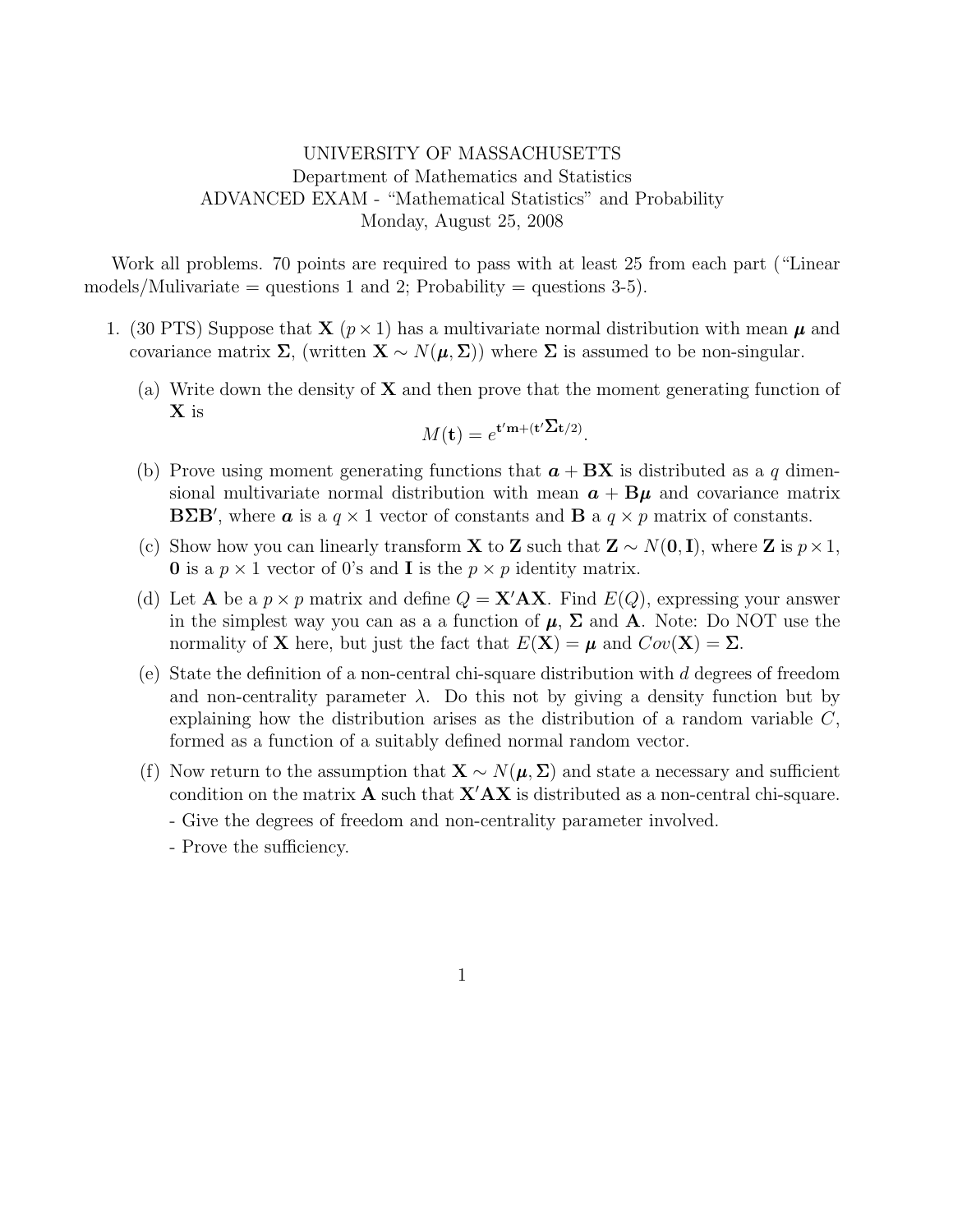## UNIVERSITY OF MASSACHUSETTS Department of Mathematics and Statistics ADVANCED EXAM - "Mathematical Statistics" and Probability Monday, August 25, 2008

Work all problems. 70 points are required to pass with at least 25 from each part ("Linear models/Mulivariate = questions 1 and 2; Probability = questions  $3-5$ ).

- 1. (30 PTS) Suppose that  $\mathbf{X}$  ( $p \times 1$ ) has a multivariate normal distribution with mean  $\mu$  and covariance matrix  $\Sigma$ , (written  $\mathbf{X} \sim N(\boldsymbol{\mu}, \Sigma)$ ) where  $\Sigma$  is assumed to be non-singular.
	- (a) Write down the density of  $X$  and then prove that the moment generating function of X is

$$
M(\mathbf{t}) = e^{\mathbf{t}'\mathbf{m} + (\mathbf{t}'\Sigma \mathbf{t}/2)}.
$$

- (b) Prove using moment generating functions that  $a + BX$  is distributed as a q dimensional multivariate normal distribution with mean  $a + \beta \mu$  and covariance matrix **BΣB'**, where **a** is a  $q \times 1$  vector of constants and **B** a  $q \times p$  matrix of constants.
- (c) Show how you can linearly transform **X** to **Z** such that  $\mathbf{Z} \sim N(\mathbf{0}, \mathbf{I})$ , where **Z** is  $p \times 1$ , **0** is a  $p \times 1$  vector of 0's and **I** is the  $p \times p$  identity matrix.
- (d) Let **A** be a  $p \times p$  matrix and define  $Q = \mathbf{X}' \mathbf{A} \mathbf{X}$ . Find  $E(Q)$ , expressing your answer in the simplest way you can as a a function of  $\mu$ ,  $\Sigma$  and A. Note: Do NOT use the normality of **X** here, but just the fact that  $E(\mathbf{X}) = \boldsymbol{\mu}$  and  $Cov(\mathbf{X}) = \Sigma$ .
- (e) State the definition of a non-central chi-square distribution with  $d$  degrees of freedom and non-centrality parameter  $\lambda$ . Do this not by giving a density function but by explaining how the distribution arises as the distribution of a random variable  $C$ , formed as a function of a suitably defined normal random vector.
- (f) Now return to the assumption that  $\mathbf{X} \sim N(\boldsymbol{\mu}, \boldsymbol{\Sigma})$  and state a necessary and sufficient condition on the matrix  $\bf{A}$  such that  $\bf{X'AX}$  is distributed as a non-central chi-square. - Give the degrees of freedom and non-centrality parameter involved.
	- Prove the sufficiency.

1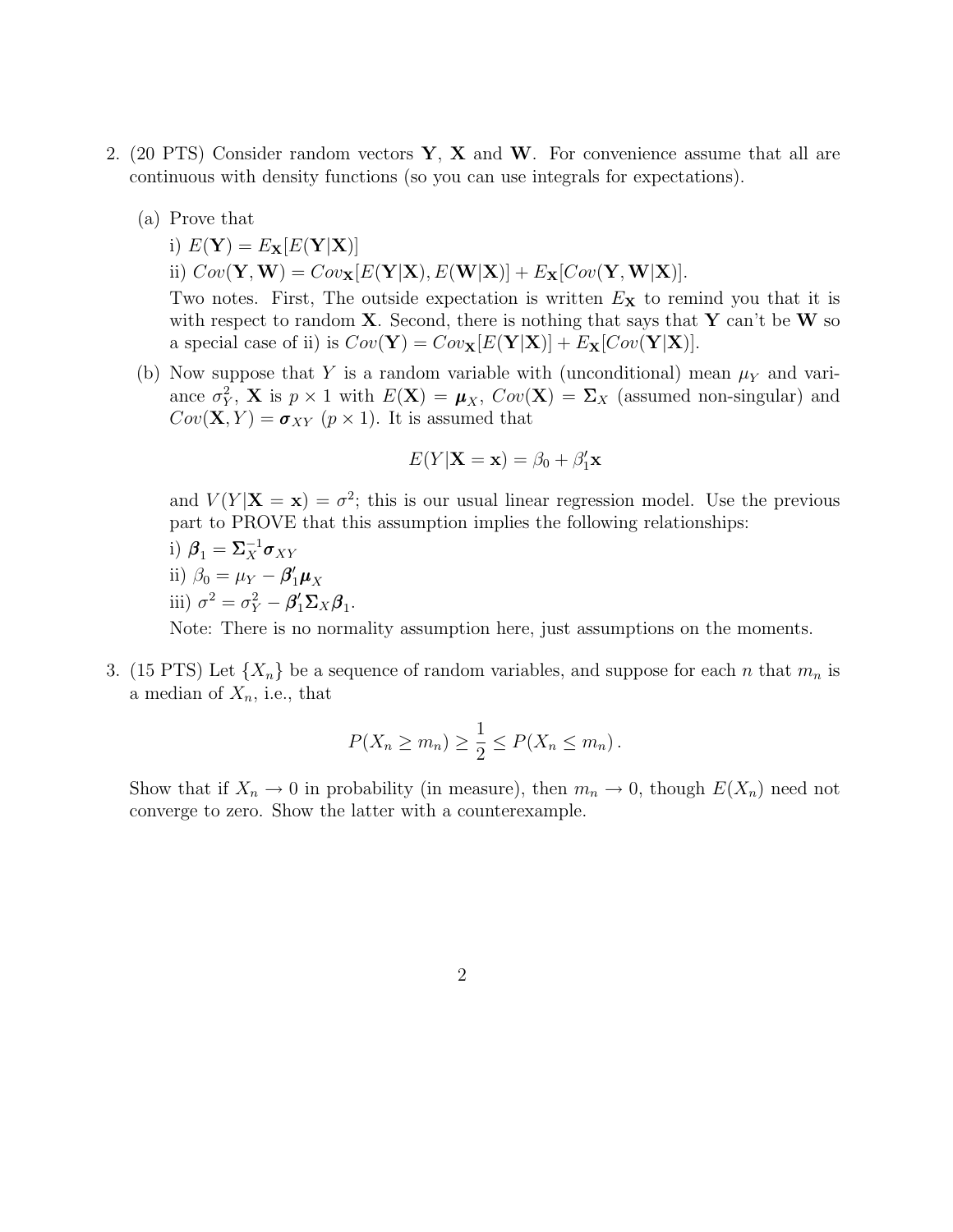- 2. (20 PTS) Consider random vectors  $Y$ ,  $X$  and  $W$ . For convenience assume that all are continuous with density functions (so you can use integrals for expectations).
	- (a) Prove that
		- i)  $E(\mathbf{Y}) = E_{\mathbf{X}}[E(\mathbf{Y}|\mathbf{X})]$ ii)  $Cov(\mathbf{Y}, \mathbf{W}) = Cov_{\mathbf{X}}[E(\mathbf{Y}|\mathbf{X}), E(\mathbf{W}|\mathbf{X})] + E_{\mathbf{X}}[Cov(\mathbf{Y}, \mathbf{W}|\mathbf{X})].$

Two notes. First, The outside expectation is written  $E<sub>X</sub>$  to remind you that it is with respect to random  $X$ . Second, there is nothing that says that Y can't be W so a special case of ii) is  $Cov(\mathbf{Y}) = Cov_{\mathbf{X}}[E(\mathbf{Y}|\mathbf{X})] + E_{\mathbf{X}}[Cov(\mathbf{Y}|\mathbf{X})].$ 

(b) Now suppose that Y is a random variable with (unconditional) mean  $\mu_Y$  and variance  $\sigma_Y^2$ , **X** is  $p \times 1$  with  $E(\mathbf{X}) = \boldsymbol{\mu}_X$ ,  $Cov(\mathbf{X}) = \Sigma_X$  (assumed non-singular) and  $Cov(\mathbf{X}, Y) = \boldsymbol{\sigma}_{XY}$   $(p \times 1)$ . It is assumed that

$$
E(Y|\mathbf{X}=\mathbf{x}) = \beta_0 + \beta'_1 \mathbf{x}
$$

and  $V(Y|\mathbf{X} = \mathbf{x}) = \sigma^2$ ; this is our usual linear regression model. Use the previous part to PROVE that this assumption implies the following relationships:

i)  $\beta_1 = \Sigma_X^{-1} \sigma_{XY}$ ii)  $\beta_0 = \mu_Y - \beta'_1 \mu_X$ iii)  $\sigma^2 = \sigma_Y^2 - \beta'_1 \Sigma_X \beta_1$ .

Note: There is no normality assumption here, just assumptions on the moments.

3. (15 PTS) Let  $\{X_n\}$  be a sequence of random variables, and suppose for each n that  $m_n$  is a median of  $X_n$ , i.e., that

$$
P(X_n \ge m_n) \ge \frac{1}{2} \le P(X_n \le m_n).
$$

Show that if  $X_n \to 0$  in probability (in measure), then  $m_n \to 0$ , though  $E(X_n)$  need not converge to zero. Show the latter with a counterexample.